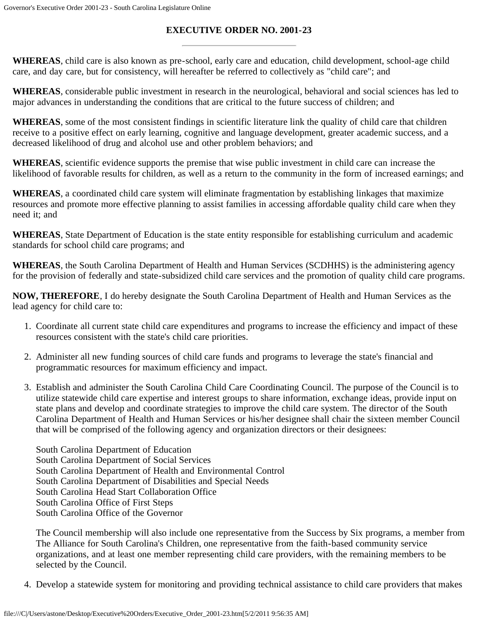## **EXECUTIVE ORDER NO. 2001-23**

**WHEREAS**, child care is also known as pre-school, early care and education, child development, school-age child care, and day care, but for consistency, will hereafter be referred to collectively as "child care"; and

**WHEREAS**, considerable public investment in research in the neurological, behavioral and social sciences has led to major advances in understanding the conditions that are critical to the future success of children; and

**WHEREAS**, some of the most consistent findings in scientific literature link the quality of child care that children receive to a positive effect on early learning, cognitive and language development, greater academic success, and a decreased likelihood of drug and alcohol use and other problem behaviors; and

**WHEREAS**, scientific evidence supports the premise that wise public investment in child care can increase the likelihood of favorable results for children, as well as a return to the community in the form of increased earnings; and

**WHEREAS**, a coordinated child care system will eliminate fragmentation by establishing linkages that maximize resources and promote more effective planning to assist families in accessing affordable quality child care when they need it; and

**WHEREAS**, State Department of Education is the state entity responsible for establishing curriculum and academic standards for school child care programs; and

**WHEREAS**, the South Carolina Department of Health and Human Services (SCDHHS) is the administering agency for the provision of federally and state-subsidized child care services and the promotion of quality child care programs.

**NOW, THEREFORE**, I do hereby designate the South Carolina Department of Health and Human Services as the lead agency for child care to:

- 1. Coordinate all current state child care expenditures and programs to increase the efficiency and impact of these resources consistent with the state's child care priorities.
- 2. Administer all new funding sources of child care funds and programs to leverage the state's financial and programmatic resources for maximum efficiency and impact.
- 3. Establish and administer the South Carolina Child Care Coordinating Council. The purpose of the Council is to utilize statewide child care expertise and interest groups to share information, exchange ideas, provide input on state plans and develop and coordinate strategies to improve the child care system. The director of the South Carolina Department of Health and Human Services or his/her designee shall chair the sixteen member Council that will be comprised of the following agency and organization directors or their designees:

South Carolina Department of Education South Carolina Department of Social Services South Carolina Department of Health and Environmental Control South Carolina Department of Disabilities and Special Needs South Carolina Head Start Collaboration Office South Carolina Office of First Steps South Carolina Office of the Governor

The Council membership will also include one representative from the Success by Six programs, a member from The Alliance for South Carolina's Children, one representative from the faith-based community service organizations, and at least one member representing child care providers, with the remaining members to be selected by the Council.

4. Develop a statewide system for monitoring and providing technical assistance to child care providers that makes